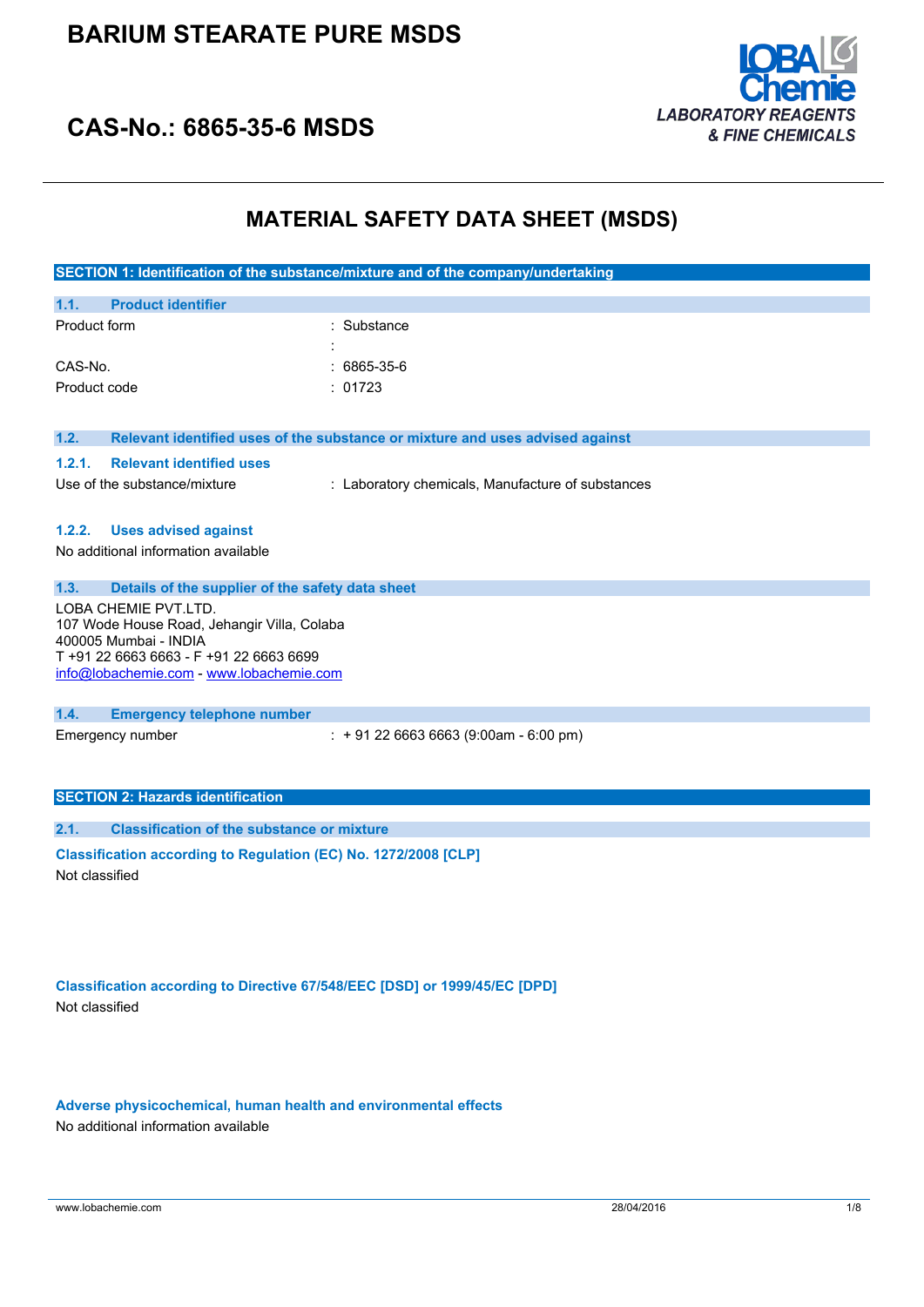

## **CAS-No.: 6865-35-6 MSDS**

## **MATERIAL SAFETY DATA SHEET (MSDS)**

|                                                                                                                                                                                     | SECTION 1: Identification of the substance/mixture and of the company/undertaking |  |  |
|-------------------------------------------------------------------------------------------------------------------------------------------------------------------------------------|-----------------------------------------------------------------------------------|--|--|
| <b>Product identifier</b><br>1.1.                                                                                                                                                   |                                                                                   |  |  |
| Product form                                                                                                                                                                        | Substance                                                                         |  |  |
| CAS-No.                                                                                                                                                                             | 6865-35-6                                                                         |  |  |
| Product code                                                                                                                                                                        | : 01723                                                                           |  |  |
| 1.2.                                                                                                                                                                                | Relevant identified uses of the substance or mixture and uses advised against     |  |  |
| <b>Relevant identified uses</b><br>1.2.1.                                                                                                                                           |                                                                                   |  |  |
| Use of the substance/mixture                                                                                                                                                        | : Laboratory chemicals, Manufacture of substances                                 |  |  |
|                                                                                                                                                                                     |                                                                                   |  |  |
| 1.2.2.<br><b>Uses advised against</b>                                                                                                                                               |                                                                                   |  |  |
| No additional information available                                                                                                                                                 |                                                                                   |  |  |
|                                                                                                                                                                                     |                                                                                   |  |  |
| 1.3.<br>Details of the supplier of the safety data sheet                                                                                                                            |                                                                                   |  |  |
| LOBA CHEMIE PVT.LTD.<br>107 Wode House Road, Jehangir Villa, Colaba<br>400005 Mumbai - INDIA<br>T +91 22 6663 6663 - F +91 22 6663 6699<br>info@lobachemie.com - www.lobachemie.com |                                                                                   |  |  |
| 1.4.<br><b>Emergency telephone number</b>                                                                                                                                           |                                                                                   |  |  |
| Emergency number                                                                                                                                                                    | $\div$ + 91 22 6663 6663 (9:00am - 6:00 pm)                                       |  |  |
|                                                                                                                                                                                     |                                                                                   |  |  |
|                                                                                                                                                                                     |                                                                                   |  |  |
| <b>SECTION 2: Hazards identification</b>                                                                                                                                            |                                                                                   |  |  |
| <b>Classification of the substance or mixture</b><br>2.1.                                                                                                                           |                                                                                   |  |  |
| Classification according to Regulation (EC) No. 1272/2008 [CLP]<br>Not classified                                                                                                   |                                                                                   |  |  |
|                                                                                                                                                                                     |                                                                                   |  |  |
|                                                                                                                                                                                     |                                                                                   |  |  |
|                                                                                                                                                                                     |                                                                                   |  |  |
|                                                                                                                                                                                     |                                                                                   |  |  |

**Classification according to Directive 67/548/EEC [DSD] or 1999/45/EC [DPD]** Not classified

**Adverse physicochemical, human health and environmental effects** No additional information available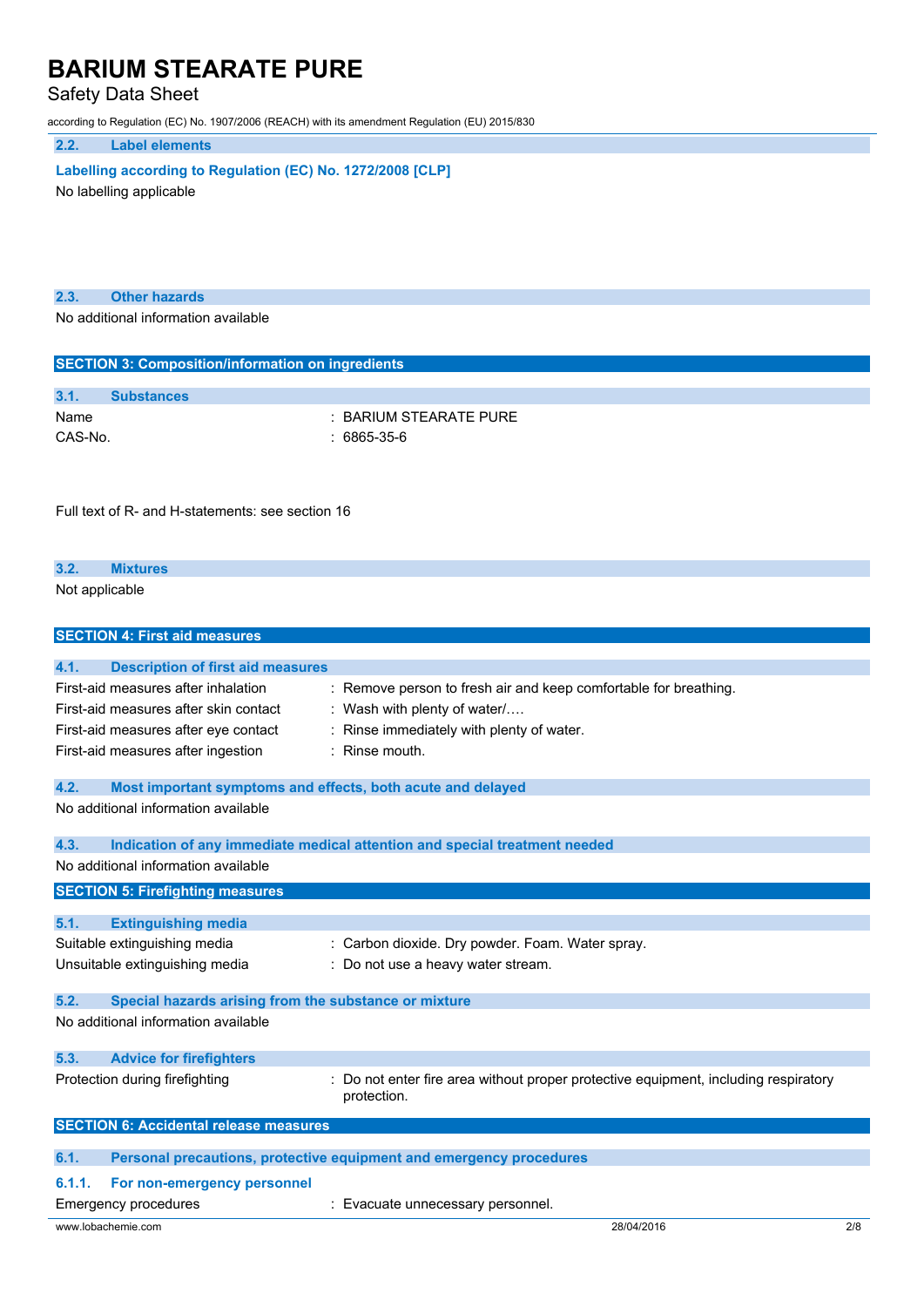Safety Data Sheet

according to Regulation (EC) No. 1907/2006 (REACH) with its amendment Regulation (EU) 2015/830

**2.2. Label elements**

**Labelling** according to Regulation (EC) No. 1272/2008 [CLP] No labelling applicable

**2.3. Other hazards**

No additional information available

| <b>SECTION 3: Composition/information on ingredients</b>            |                                                                                     |     |
|---------------------------------------------------------------------|-------------------------------------------------------------------------------------|-----|
| 3.1.<br><b>Substances</b>                                           |                                                                                     |     |
| Name                                                                | : BARIUM STEARATE PURE                                                              |     |
| CAS-No.                                                             | : 6865-35-6                                                                         |     |
|                                                                     |                                                                                     |     |
|                                                                     |                                                                                     |     |
|                                                                     |                                                                                     |     |
| Full text of R- and H-statements: see section 16                    |                                                                                     |     |
|                                                                     |                                                                                     |     |
| 3.2.<br><b>Mixtures</b>                                             |                                                                                     |     |
| Not applicable                                                      |                                                                                     |     |
|                                                                     |                                                                                     |     |
| <b>SECTION 4: First aid measures</b>                                |                                                                                     |     |
|                                                                     |                                                                                     |     |
| <b>Description of first aid measures</b><br>4.1.                    |                                                                                     |     |
| First-aid measures after inhalation                                 | : Remove person to fresh air and keep comfortable for breathing.                    |     |
| First-aid measures after skin contact                               | : Wash with plenty of water/                                                        |     |
| First-aid measures after eye contact                                | : Rinse immediately with plenty of water.                                           |     |
| First-aid measures after ingestion                                  | : Rinse mouth.                                                                      |     |
|                                                                     |                                                                                     |     |
| 4.2.<br>Most important symptoms and effects, both acute and delayed |                                                                                     |     |
| No additional information available                                 |                                                                                     |     |
| 4.3.                                                                | Indication of any immediate medical attention and special treatment needed          |     |
| No additional information available                                 |                                                                                     |     |
| <b>SECTION 5: Firefighting measures</b>                             |                                                                                     |     |
|                                                                     |                                                                                     |     |
| 5.1.<br><b>Extinguishing media</b>                                  |                                                                                     |     |
| Suitable extinguishing media                                        | : Carbon dioxide. Dry powder. Foam. Water spray.                                    |     |
| Unsuitable extinguishing media                                      | : Do not use a heavy water stream.                                                  |     |
|                                                                     |                                                                                     |     |
| 5.2.<br>Special hazards arising from the substance or mixture       |                                                                                     |     |
| No additional information available                                 |                                                                                     |     |
| 5.3.<br><b>Advice for firefighters</b>                              |                                                                                     |     |
| Protection during firefighting                                      | : Do not enter fire area without proper protective equipment, including respiratory |     |
|                                                                     | protection.                                                                         |     |
|                                                                     |                                                                                     |     |
| <b>SECTION 6: Accidental release measures</b>                       |                                                                                     |     |
| 6.1.                                                                | Personal precautions, protective equipment and emergency procedures                 |     |
| 6.1.1.<br>For non-emergency personnel                               |                                                                                     |     |
| <b>Emergency procedures</b>                                         | : Evacuate unnecessary personnel.                                                   |     |
| www.lobachemie.com                                                  | 28/04/2016                                                                          | 2/8 |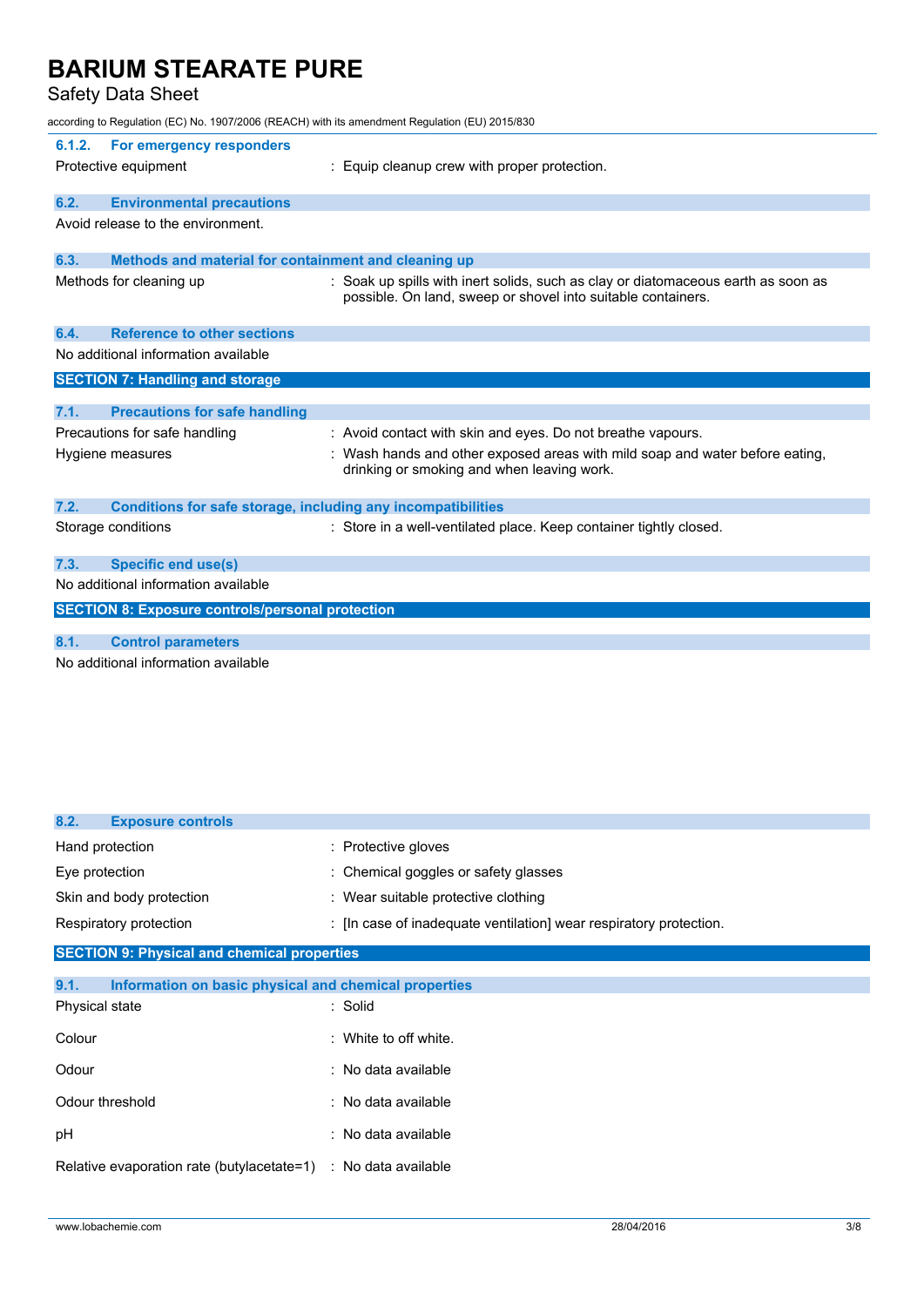Safety Data Sheet

according to Regulation (EC) No. 1907/2006 (REACH) with its amendment Regulation (EU) 2015/830

| 6.1.2. | For emergency responders<br>Protective equipment             | : Equip cleanup crew with proper protection.                                                                                                      |
|--------|--------------------------------------------------------------|---------------------------------------------------------------------------------------------------------------------------------------------------|
| 6.2.   | <b>Environmental precautions</b>                             |                                                                                                                                                   |
|        | Avoid release to the environment.                            |                                                                                                                                                   |
| 6.3.   | Methods and material for containment and cleaning up         |                                                                                                                                                   |
|        | Methods for cleaning up                                      | : Soak up spills with inert solids, such as clay or diatomaceous earth as soon as<br>possible. On land, sweep or shovel into suitable containers. |
| 6.4.   | <b>Reference to other sections</b>                           |                                                                                                                                                   |
|        | No additional information available                          |                                                                                                                                                   |
|        | <b>SECTION 7: Handling and storage</b>                       |                                                                                                                                                   |
| 7.1.   | <b>Precautions for safe handling</b>                         |                                                                                                                                                   |
|        | Precautions for safe handling                                | : Avoid contact with skin and eyes. Do not breathe vapours.                                                                                       |
|        | Hygiene measures                                             | : Wash hands and other exposed areas with mild soap and water before eating,<br>drinking or smoking and when leaving work.                        |
| 7.2.   | Conditions for safe storage, including any incompatibilities |                                                                                                                                                   |
|        | Storage conditions                                           | : Store in a well-ventilated place. Keep container tightly closed.                                                                                |
| 7.3.   | <b>Specific end use(s)</b>                                   |                                                                                                                                                   |
|        | No additional information available                          |                                                                                                                                                   |
|        | <b>SECTION 8: Exposure controls/personal protection</b>      |                                                                                                                                                   |
| 8.1.   | <b>Control parameters</b>                                    |                                                                                                                                                   |
|        | No additional information available                          |                                                                                                                                                   |
|        |                                                              |                                                                                                                                                   |

| 8.2.           | <b>Exposure controls</b> |                                                                    |
|----------------|--------------------------|--------------------------------------------------------------------|
|                | Hand protection          | : Protective gloves                                                |
| Eye protection |                          | : Chemical goggles or safety glasses                               |
|                | Skin and body protection | : Wear suitable protective clothing                                |
|                | Respiratory protection   | : [In case of inadequate ventilation] wear respiratory protection. |

## **SECTION 9: Physical and chemical properties**

| Information on basic physical and chemical properties             |
|-------------------------------------------------------------------|
| : Solid                                                           |
| $\therefore$ White to off white.                                  |
| $\therefore$ No data available                                    |
| : No data available                                               |
| : No data available                                               |
| Relative evaporation rate (butylacetate=1)<br>: No data available |
|                                                                   |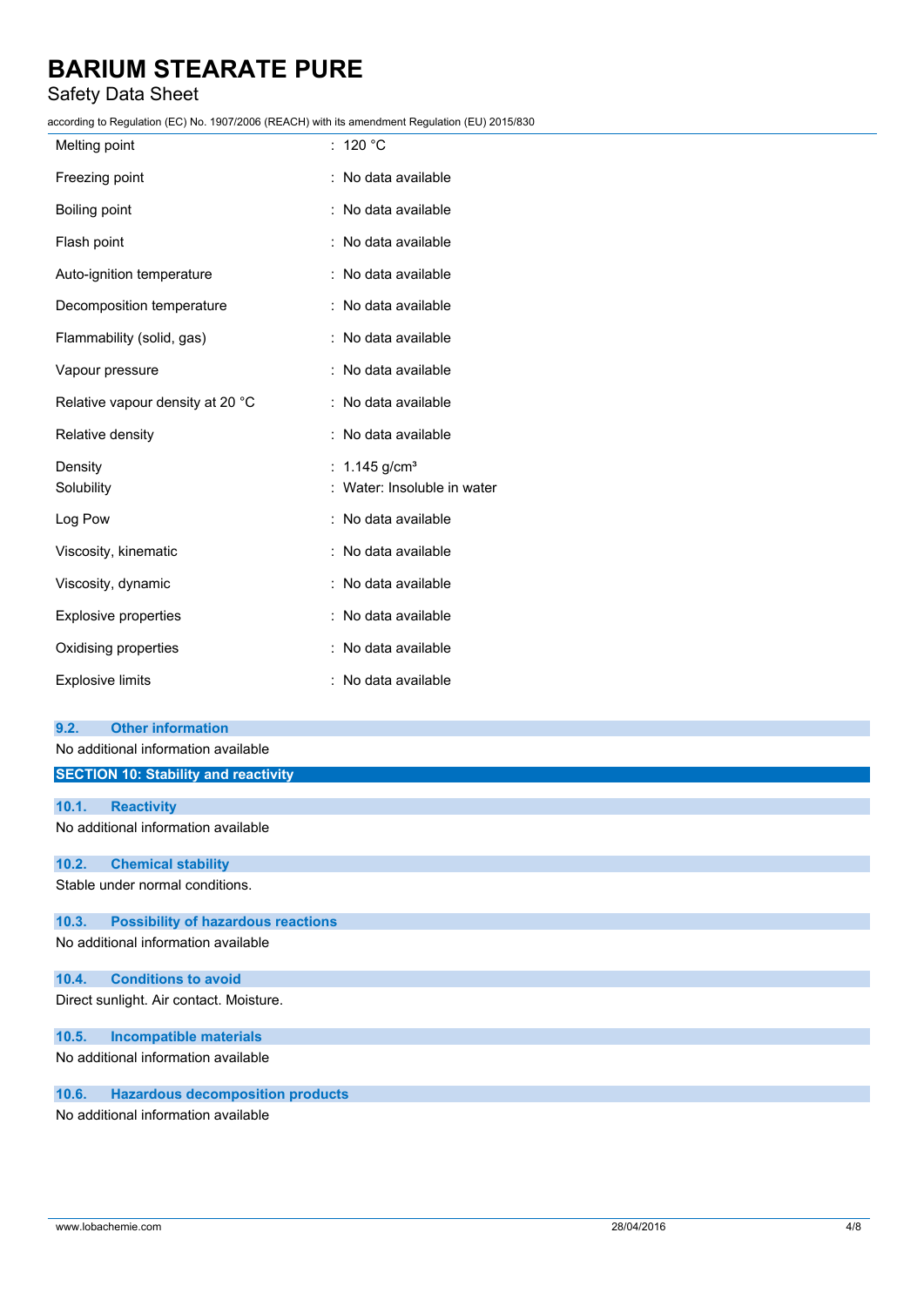## Safety Data Sheet

according to Regulation (EC) No. 1907/2006 (REACH) with its amendment Regulation (EU) 2015/830

| Melting point                    | : 120 $^{\circ}$ C          |
|----------------------------------|-----------------------------|
| Freezing point                   | : No data available         |
| Boiling point                    | : No data available         |
| Flash point                      | : No data available         |
| Auto-ignition temperature        | : No data available         |
| Decomposition temperature        | : No data available         |
| Flammability (solid, gas)        | : No data available         |
| Vapour pressure                  | : No data available         |
| Relative vapour density at 20 °C | : No data available         |
| Relative density                 | : No data available         |
| Density                          | : $1.145$ g/cm <sup>3</sup> |
| Solubility                       | : Water: Insoluble in water |
| Log Pow                          | : No data available         |
| Viscosity, kinematic             | : No data available         |
| Viscosity, dynamic               | : No data available         |
| <b>Explosive properties</b>      | : No data available         |
| Oxidising properties             | : No data available         |
| <b>Explosive limits</b>          | : No data available         |
|                                  |                             |

#### **9.2. Other information**

No additional information available

| <b>SECTION 10: Stability and reactivity</b>        |
|----------------------------------------------------|
|                                                    |
| 10.1.<br><b>Reactivity</b>                         |
| No additional information available                |
| 10.2.<br><b>Chemical stability</b>                 |
| Stable under normal conditions.                    |
| <b>Possibility of hazardous reactions</b><br>10.3. |
| No additional information available                |
| <b>Conditions to avoid</b><br>10.4.                |
| Direct sunlight. Air contact. Moisture.            |
| 10.5.<br><b>Incompatible materials</b>             |
| No additional information available                |

## **10.6. Hazardous decomposition products**

No additional information available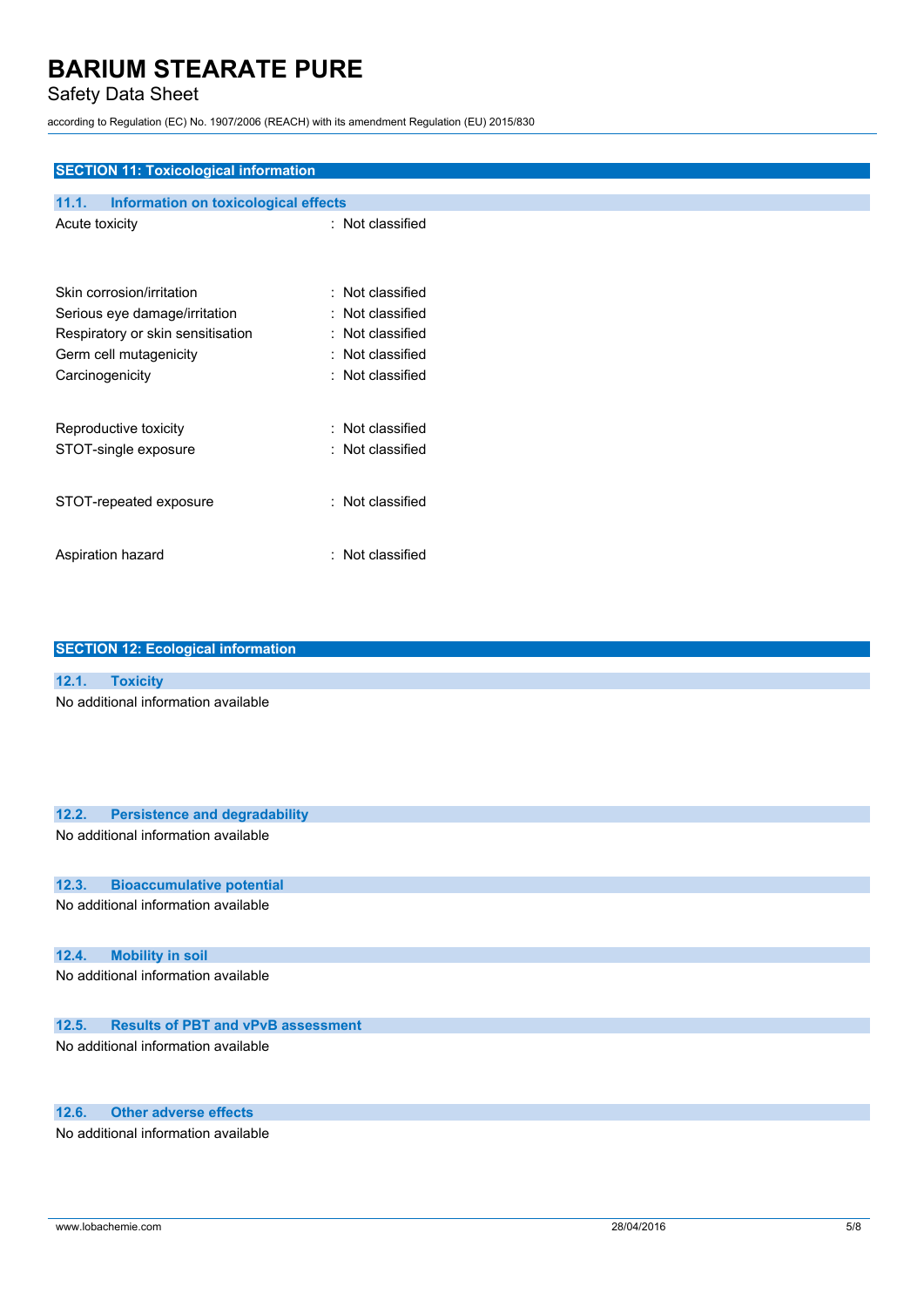## Safety Data Sheet

according to Regulation (EC) No. 1907/2006 (REACH) with its amendment Regulation (EU) 2015/830

### **SECTION 11: Toxicological information**

| 11.1.           | Information on toxicological effects |                  |
|-----------------|--------------------------------------|------------------|
| Acute toxicity  |                                      | : Not classified |
|                 | Skin corrosion/irritation            | Not classified   |
|                 | Serious eye damage/irritation        | Not classified   |
|                 | Respiratory or skin sensitisation    | Not classified   |
|                 | Germ cell mutagenicity               | Not classified   |
| Carcinogenicity |                                      | Not classified   |
|                 | Reproductive toxicity                | Not classified   |
|                 | STOT-single exposure                 | Not classified   |
|                 | STOT-repeated exposure               | : Not classified |
|                 | Aspiration hazard                    | Not classified   |

#### **SECTION 12: Ecological information**

#### **12.1. Toxicity** No additional information available

| 12.2. | <b>Persistence and degradability</b>      |
|-------|-------------------------------------------|
|       | No additional information available       |
|       |                                           |
| 12.3. | <b>Bioaccumulative potential</b>          |
|       | No additional information available       |
|       |                                           |
| 12.4. | <b>Mobility in soil</b>                   |
|       | No additional information available       |
|       |                                           |
| 12.5. | <b>Results of PBT and vPvB assessment</b> |
|       |                                           |
|       | No additional information available       |
|       |                                           |
|       |                                           |

### **12.6. Other adverse effects**

No additional information available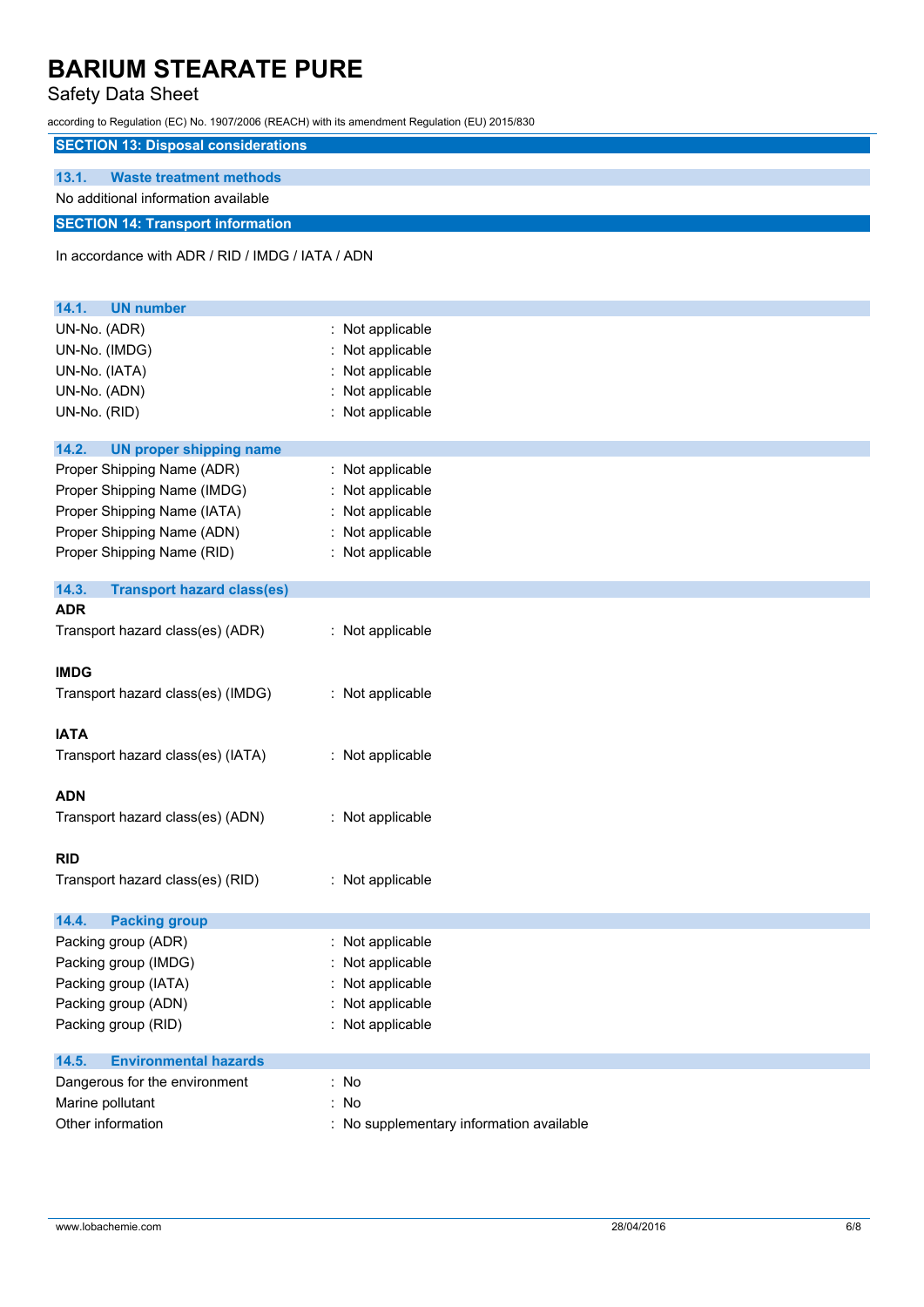## Safety Data Sheet

according to Regulation (EC) No. 1907/2006 (REACH) with its amendment Regulation (EU) 2015/830

### **SECTION 13: Disposal considerations**

### **13.1. Waste treatment methods**

## No additional information available

## **SECTION 14: Transport information**

In accordance with ADR / RID / IMDG / IATA / ADN

| <b>UN number</b><br>14.1.                  |                                          |
|--------------------------------------------|------------------------------------------|
| UN-No. (ADR)                               | : Not applicable                         |
| UN-No. (IMDG)                              | : Not applicable                         |
| UN-No. (IATA)                              | Not applicable                           |
| UN-No. (ADN)                               | : Not applicable                         |
| UN-No. (RID)                               | : Not applicable                         |
| 14.2.<br><b>UN proper shipping name</b>    |                                          |
| Proper Shipping Name (ADR)                 | : Not applicable                         |
| Proper Shipping Name (IMDG)                | : Not applicable                         |
| Proper Shipping Name (IATA)                | : Not applicable                         |
| Proper Shipping Name (ADN)                 | : Not applicable                         |
| Proper Shipping Name (RID)                 | : Not applicable                         |
|                                            |                                          |
| 14.3.<br><b>Transport hazard class(es)</b> |                                          |
| <b>ADR</b>                                 |                                          |
| Transport hazard class(es) (ADR)           | : Not applicable                         |
|                                            |                                          |
| <b>IMDG</b>                                |                                          |
| Transport hazard class(es) (IMDG)          | : Not applicable                         |
| <b>IATA</b>                                |                                          |
| Transport hazard class(es) (IATA)          | : Not applicable                         |
|                                            |                                          |
| <b>ADN</b>                                 |                                          |
| Transport hazard class(es) (ADN)           | : Not applicable                         |
|                                            |                                          |
| <b>RID</b>                                 |                                          |
| Transport hazard class(es) (RID)           | : Not applicable                         |
|                                            |                                          |
| 14.4.<br><b>Packing group</b>              |                                          |
| Packing group (ADR)                        | : Not applicable                         |
| Packing group (IMDG)                       | : Not applicable                         |
| Packing group (IATA)                       | : Not applicable                         |
| Packing group (ADN)                        | : Not applicable                         |
| Packing group (RID)                        | : Not applicable                         |
| 14.5.<br><b>Environmental hazards</b>      |                                          |
| Dangerous for the environment              | : No                                     |
| Marine pollutant                           | : No                                     |
| Other information                          | : No supplementary information available |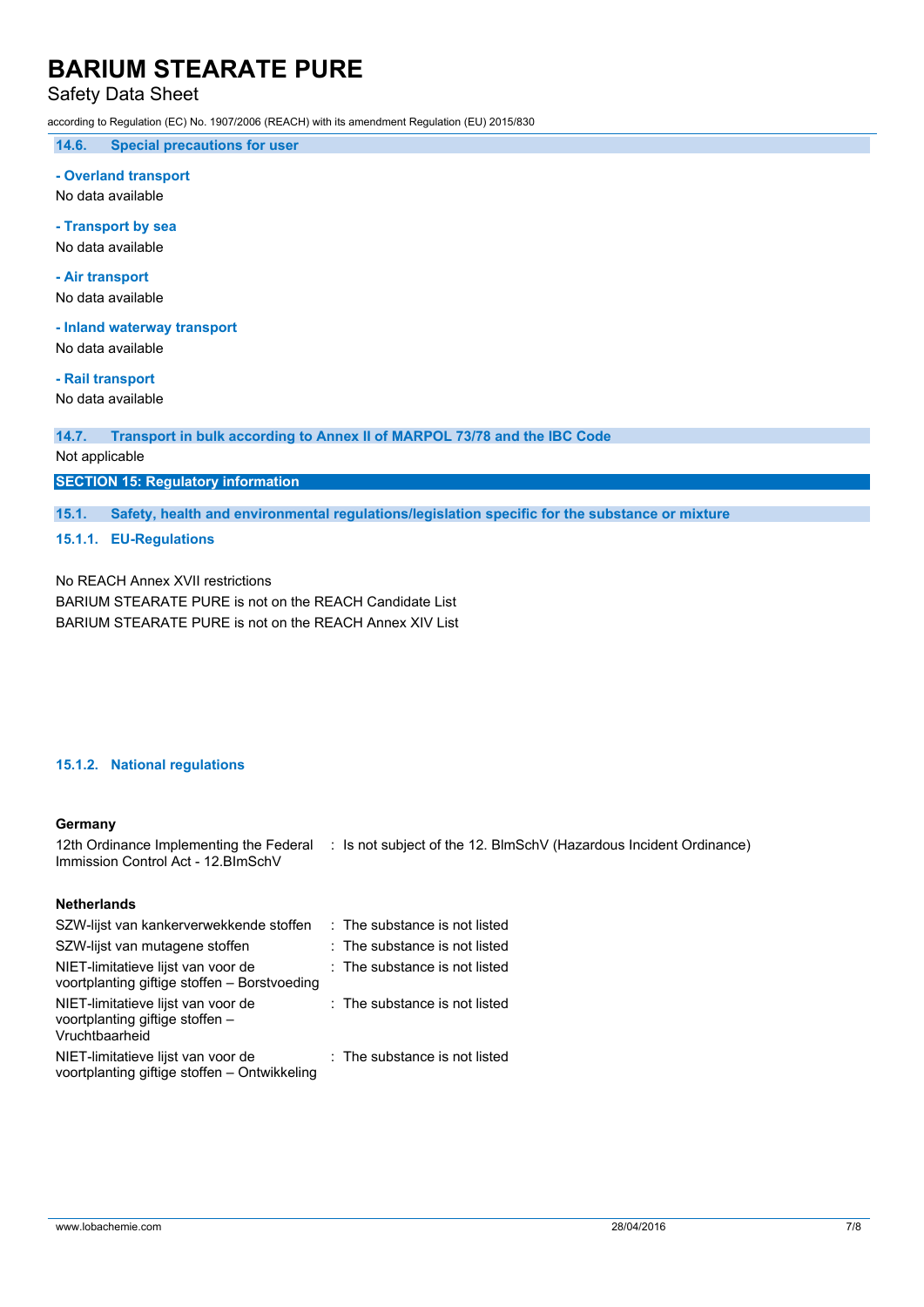## Safety Data Sheet

according to Regulation (EC) No. 1907/2006 (REACH) with its amendment Regulation (EU) 2015/830

**14.6. Special precautions for user**

#### **- Overland transport**

No data available

#### **- Transport by sea**

No data available

### **- Air transport**

No data available

#### **- Inland waterway transport**

No data available

## **- Rail transport**

No data available

**14.7. Transport in bulk according to Annex II of MARPOL 73/78 and the IBC Code**

### Not applicable

### **SECTION 15: Regulatory information**

**15.1. Safety, health and environmental regulations/legislation specific for the substance or mixture**

### **15.1.1. EU-Regulations**

No REACH Annex XVII restrictions BARIUM STEARATE PURE is not on the REACH Candidate List BARIUM STEARATE PURE is not on the REACH Annex XIV List

### **15.1.2. National regulations**

### **Germany**

12th Ordinance Implementing the Federal : Is not subject of the 12. BlmSchV (Hazardous Incident Ordinance) Immission Control Act - 12.BImSchV

### **Netherlands**

| SZW-lijst van kankerverwekkende stoffen                                                 | : The substance is not listed   |
|-----------------------------------------------------------------------------------------|---------------------------------|
| SZW-lijst van mutagene stoffen                                                          | : The substance is not listed   |
| NIET-limitatieve lijst van voor de<br>voortplanting giftige stoffen - Borstvoeding      | $:$ The substance is not listed |
| NIET-limitatieve lijst van voor de<br>voortplanting giftige stoffen -<br>Vruchtbaarheid | : The substance is not listed   |
| NIET-limitatieve lijst van voor de<br>voortplanting giftige stoffen - Ontwikkeling      | : The substance is not listed   |